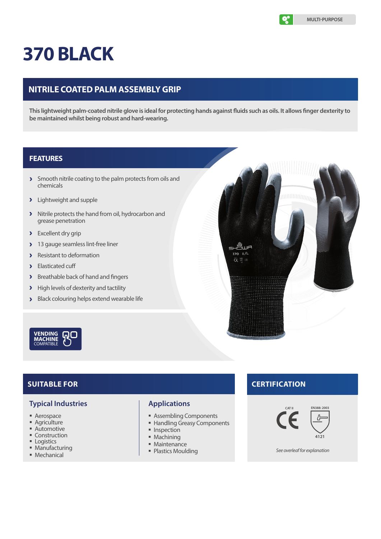

# **370 BLACK**

# **NITRILE COATED PALM ASSEMBLY GRIP**

**This lightweight palm-coated nitrile glove is ideal for protecting hands against fluids such as oils. It allows finger dexterity to be maintained whilst being robust and hard-wearing.**

### **FEATURES**

- Smooth nitrile coating to the palm protects from oils and chemicals
- **>** Lightweight and supple
- > Nitrile protects the hand from oil, hydrocarbon and grease penetration
- > Excellent dry grip
- 13 gauge seamless lint-free liner  $\lambda$
- > Resistant to deformation
- > Elasticated cuff
- **>** Breathable back of hand and fingers
- > High levels of dexterity and tactility
- Black colouring helps extend wearable life



# **SUITABLE FOR**

#### **Typical Industries**

- Aerospace
- **Agriculture Automotive**
- **Construction**
- **Logistics**
- **Manufacturing**
- **Mechanical**

## **Applications**

- Assembling Components
- **Handling Greasy Components**
- $\blacksquare$  Inspection
- $Machining$
- **Maintenance**
- Plastics Moulding

# **CERTIFICATION**

யீயு 370 8/L  $\tilde{c} \in \overline{B}$  at